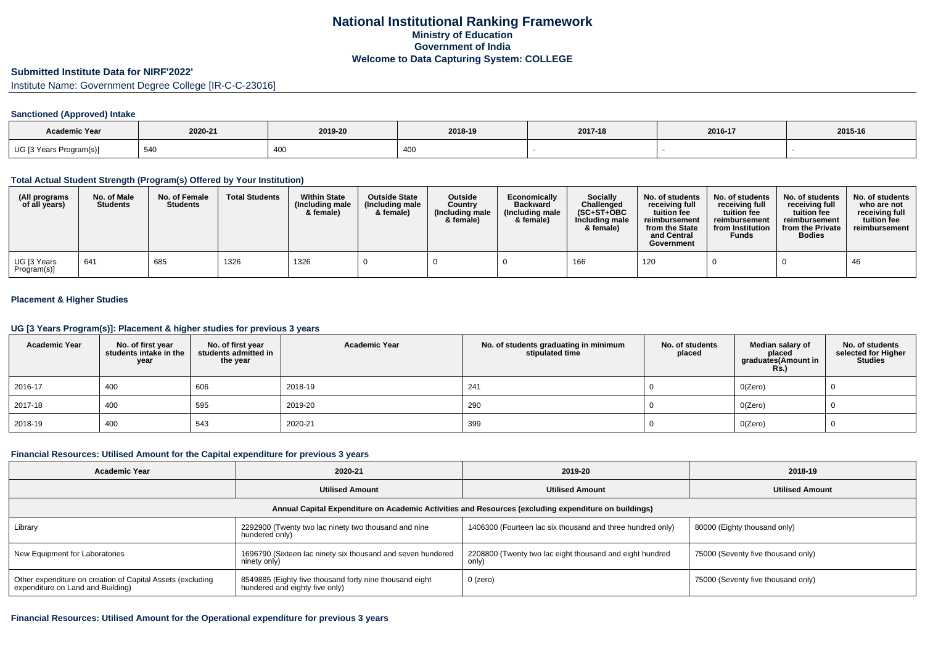### **Submitted Institute Data for NIRF'2022'**

Institute Name: Government Degree College [IR-C-C-23016]

#### **Sanctioned (Approved) Intake**

| <b>Academic Year</b>    | 2020-21     | 2019-20 | 2018-19 | 2017-18 | 2016-17 | 2015-16 |
|-------------------------|-------------|---------|---------|---------|---------|---------|
| UG [3 Years Program(s)] | FAC<br>54 U | 400     | $\sim$  |         |         |         |

### **Total Actual Student Strength (Program(s) Offered by Your Institution)**

| (All programs<br>of all years)          | No. of Male<br><b>Students</b> | No. of Female<br><b>Students</b> | <b>Total Students</b> | <b>Within State</b><br>(Including male<br>& female) | <b>Outside State</b><br>(Including male<br>& female) | <b>Outside</b><br>Country<br>(Including male<br>& female) | Economically<br><b>Backward</b><br>(Including male<br>& female) | <b>Socially</b><br>Challenged<br>$(SC+ST+OBC)$<br>Including male<br>& female) | No. of students<br>receiving full<br>tuition fee<br>reimbursement<br>from the State<br>and Central<br>Government | No. of students<br>receiving full<br>tuition fee<br>reimbursement<br>from Institution<br>Funds | No. of students<br>receiving full<br>tuition fee<br>reimbursement<br>from the Private<br><b>Bodies</b> | No. of students<br>who are not<br>receiving full<br>tuition fee<br>reimbursement |
|-----------------------------------------|--------------------------------|----------------------------------|-----------------------|-----------------------------------------------------|------------------------------------------------------|-----------------------------------------------------------|-----------------------------------------------------------------|-------------------------------------------------------------------------------|------------------------------------------------------------------------------------------------------------------|------------------------------------------------------------------------------------------------|--------------------------------------------------------------------------------------------------------|----------------------------------------------------------------------------------|
| <sup>l</sup> UG [3 Years<br>Program(s)] | 641                            | 685                              | 1326                  | 1326                                                |                                                      |                                                           |                                                                 | 166                                                                           | 120                                                                                                              |                                                                                                |                                                                                                        | 46                                                                               |

### **Placement & Higher Studies**

#### **UG [3 Years Program(s)]: Placement & higher studies for previous 3 years**

| <b>Academic Year</b> | No. of first year<br>students intake in the<br>year | No. of first year<br>students admitted in<br>the year | <b>Academic Year</b> | No. of students graduating in minimum<br>stipulated time | No. of students<br>placed | Median salary of<br>placed<br>graduates(Amount in<br><b>Rs.)</b> | No. of students<br>selected for Higher<br><b>Studies</b> |
|----------------------|-----------------------------------------------------|-------------------------------------------------------|----------------------|----------------------------------------------------------|---------------------------|------------------------------------------------------------------|----------------------------------------------------------|
| 2016-17              | 400                                                 | 606                                                   | 2018-19              | 241                                                      |                           | O(Zero)                                                          |                                                          |
| 2017-18              | 400                                                 | 595                                                   | 2019-20              | 290                                                      |                           | O(Zero)                                                          |                                                          |
| 2018-19              | 400                                                 | 543                                                   | 2020-21              | 399                                                      |                           | O(Zero)                                                          |                                                          |

### **Financial Resources: Utilised Amount for the Capital expenditure for previous 3 years**

| Academic Year                                                                                        | 2020-21                                                                                   | 2019-20                                                           | 2018-19                            |  |  |  |  |  |  |
|------------------------------------------------------------------------------------------------------|-------------------------------------------------------------------------------------------|-------------------------------------------------------------------|------------------------------------|--|--|--|--|--|--|
|                                                                                                      | <b>Utilised Amount</b>                                                                    | <b>Utilised Amount</b>                                            | <b>Utilised Amount</b>             |  |  |  |  |  |  |
| Annual Capital Expenditure on Academic Activities and Resources (excluding expenditure on buildings) |                                                                                           |                                                                   |                                    |  |  |  |  |  |  |
| Library                                                                                              | 2292900 (Twenty two lac ninety two thousand and nine<br>hundered only)                    | 1406300 (Fourteen lac six thousand and three hundred only)        | 80000 (Eighty thousand only)       |  |  |  |  |  |  |
| New Equipment for Laboratories                                                                       | 1696790 (Sixteen lac ninety six thousand and seven hundered<br>ninety only)               | 2208800 (Twenty two lac eight thousand and eight hundred<br>only) | 75000 (Seventy five thousand only) |  |  |  |  |  |  |
| Other expenditure on creation of Capital Assets (excluding<br>expenditure on Land and Building)      | 8549885 (Eighty five thousand forty nine thousand eight<br>hundered and eighty five only) | 0 (zero)                                                          | 75000 (Seventy five thousand only) |  |  |  |  |  |  |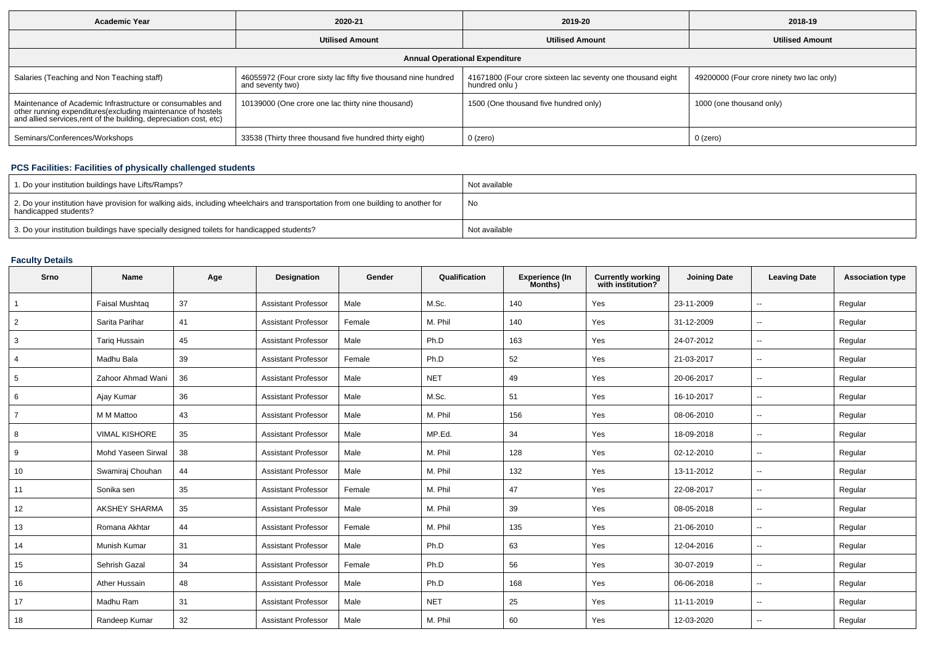| <b>Academic Year</b>                                                                                                                                                                           | 2020-21                                                                             | 2019-20                                                                      | 2018-19                                   |  |  |  |  |  |  |
|------------------------------------------------------------------------------------------------------------------------------------------------------------------------------------------------|-------------------------------------------------------------------------------------|------------------------------------------------------------------------------|-------------------------------------------|--|--|--|--|--|--|
|                                                                                                                                                                                                | <b>Utilised Amount</b>                                                              | <b>Utilised Amount</b>                                                       | <b>Utilised Amount</b>                    |  |  |  |  |  |  |
| <b>Annual Operational Expenditure</b>                                                                                                                                                          |                                                                                     |                                                                              |                                           |  |  |  |  |  |  |
| Salaries (Teaching and Non Teaching staff)                                                                                                                                                     | 46055972 (Four crore sixty lac fifty five thousand nine hundred<br>and seventy two) | 41671800 (Four crore sixteen lac seventy one thousand eight<br>hundred only) | 49200000 (Four crore ninety two lac only) |  |  |  |  |  |  |
| Maintenance of Academic Infrastructure or consumables and<br>other running expenditures(excluding maintenance of hostels<br>and allied services, rent of the building, depreciation cost, etc) | 10139000 (One crore one lac thirty nine thousand)                                   | 1500 (One thousand five hundred only)                                        | 1000 (one thousand only)                  |  |  |  |  |  |  |
| Seminars/Conferences/Workshops                                                                                                                                                                 | 33538 (Thirty three thousand five hundred thirty eight)                             | $0$ (zero)                                                                   | 0 (zero)                                  |  |  |  |  |  |  |

# **PCS Facilities: Facilities of physically challenged students**

| 1. Do your institution buildings have Lifts/Ramps?                                                                                                         | Not available |
|------------------------------------------------------------------------------------------------------------------------------------------------------------|---------------|
| 2. Do your institution have provision for walking aids, including wheelchairs and transportation from one building to another for<br>handicapped students? | No            |
| 3. Do your institution buildings have specially designed toilets for handicapped students?                                                                 | Not available |

# **Faculty Details**

| Srno           | Name                  | Age | Designation                | Gender | Qualification | <b>Experience (In</b><br>Months) | <b>Currently working</b><br>with institution? | <b>Joining Date</b> | <b>Leaving Date</b>      | <b>Association type</b> |
|----------------|-----------------------|-----|----------------------------|--------|---------------|----------------------------------|-----------------------------------------------|---------------------|--------------------------|-------------------------|
| $\overline{1}$ | <b>Faisal Mushtag</b> | 37  | <b>Assistant Professor</b> | Male   | M.Sc.         | 140                              | Yes                                           | 23-11-2009          | $\sim$                   | Regular                 |
| $\overline{2}$ | Sarita Parihar        | 41  | <b>Assistant Professor</b> | Female | M. Phil       | 140                              | Yes                                           | 31-12-2009          | $\sim$                   | Regular                 |
| 3              | <b>Tariq Hussain</b>  | 45  | <b>Assistant Professor</b> | Male   | Ph.D          | 163                              | Yes                                           | 24-07-2012          | $\sim$                   | Regular                 |
| 4              | Madhu Bala            | 39  | <b>Assistant Professor</b> | Female | Ph.D          | 52                               | Yes                                           | 21-03-2017          | $\sim$                   | Regular                 |
| 5              | Zahoor Ahmad Wani     | 36  | <b>Assistant Professor</b> | Male   | <b>NET</b>    | 49                               | Yes                                           | 20-06-2017          | $\sim$                   | Regular                 |
| 6              | Ajay Kumar            | 36  | <b>Assistant Professor</b> | Male   | M.Sc.         | 51                               | Yes                                           | 16-10-2017          | $\sim$                   | Regular                 |
| $\overline{7}$ | M M Mattoo            | 43  | <b>Assistant Professor</b> | Male   | M. Phil       | 156                              | Yes                                           | 08-06-2010          | $\overline{\phantom{a}}$ | Regular                 |
| 8              | <b>VIMAL KISHORE</b>  | 35  | <b>Assistant Professor</b> | Male   | MP.Ed.        | 34                               | Yes                                           | 18-09-2018          | $\sim$                   | Regular                 |
| 9              | Mohd Yaseen Sirwal    | 38  | <b>Assistant Professor</b> | Male   | M. Phil       | 128                              | Yes                                           | 02-12-2010          | $\sim$                   | Regular                 |
| 10             | Swamiraj Chouhan      | 44  | <b>Assistant Professor</b> | Male   | M. Phil       | 132                              | Yes                                           | 13-11-2012          | $-$                      | Regular                 |
| 11             | Sonika sen            | 35  | <b>Assistant Professor</b> | Female | M. Phil       | 47                               | Yes                                           | 22-08-2017          | $\sim$                   | Regular                 |
| 12             | <b>AKSHEY SHARMA</b>  | 35  | <b>Assistant Professor</b> | Male   | M. Phil       | 39                               | Yes                                           | 08-05-2018          | $\sim$                   | Regular                 |
| 13             | Romana Akhtar         | 44  | <b>Assistant Professor</b> | Female | M. Phil       | 135                              | Yes                                           | 21-06-2010          | $\mathbf{u}$             | Regular                 |
| 14             | Munish Kumar          | 31  | <b>Assistant Professor</b> | Male   | Ph.D          | 63                               | Yes                                           | 12-04-2016          | $\mathbf{u}$             | Regular                 |
| 15             | Sehrish Gazal         | 34  | <b>Assistant Professor</b> | Female | Ph.D          | 56                               | Yes                                           | 30-07-2019          | $\sim$                   | Regular                 |
| 16             | Ather Hussain         | 48  | <b>Assistant Professor</b> | Male   | Ph.D          | 168                              | Yes                                           | 06-06-2018          | $\sim$                   | Regular                 |
| 17             | Madhu Ram             | 31  | <b>Assistant Professor</b> | Male   | <b>NET</b>    | 25                               | Yes                                           | 11-11-2019          | $\sim$                   | Regular                 |
| 18             | Randeep Kumar         | 32  | <b>Assistant Professor</b> | Male   | M. Phil       | 60                               | Yes                                           | 12-03-2020          | $\sim$                   | Regular                 |